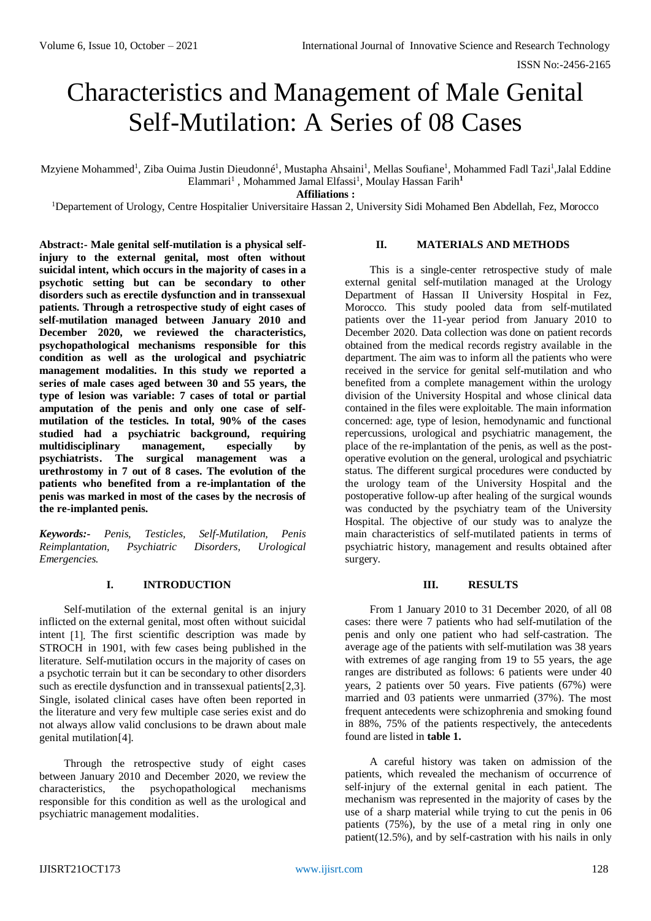# Characteristics and Management of Male Genital Self-Mutilation: A Series of 08 Cases

Mzyiene Mohammed<sup>1</sup>, Ziba Ouima Justin Dieudonné<sup>1</sup>, Mustapha Ahsaini<sup>1</sup>, Mellas Soufiane<sup>1</sup>, Mohammed Fadl Tazi<sup>1</sup>,Jalal Eddine Elammari<sup>1</sup>, Mohammed Jamal Elfassi<sup>1</sup>, Moulay Hassan Farih<sup>1</sup>

**Affiliations :**

<sup>1</sup>Departement of Urology, Centre Hospitalier Universitaire Hassan 2, University Sidi Mohamed Ben Abdellah, Fez, Morocco

**Abstract:- Male genital self-mutilation is a physical selfinjury to the external genital, most often without suicidal intent, which occurs in the majority of cases in a psychotic setting but can be secondary to other disorders such as erectile dysfunction and in transsexual patients. Through a retrospective study of eight cases of self-mutilation managed between January 2010 and December 2020, we reviewed the characteristics, psychopathological mechanisms responsible for this condition as well as the urological and psychiatric management modalities. In this study we reported a series of male cases aged between 30 and 55 years, the type of lesion was variable: 7 cases of total or partial amputation of the penis and only one case of selfmutilation of the testicles. In total, 90% of the cases studied had a psychiatric background, requiring multidisciplinary management, especially by psychiatrists. The surgical management was a urethrostomy in 7 out of 8 cases. The evolution of the patients who benefited from a re-implantation of the penis was marked in most of the cases by the necrosis of the re-implanted penis.**

*Keywords:- Penis, Testicles, Self-Mutilation, Penis Reimplantation, Psychiatric Disorders, Urological Emergencies.*

## **I. INTRODUCTION**

Self-mutilation of the external genital is an injury inflicted on the external genital, most often without suicidal intent [1]. The first scientific description was made by STROCH in 1901, with few cases being published in the literature. Self-mutilation occurs in the majority of cases on a psychotic terrain but it can be secondary to other disorders such as erectile dysfunction and in transsexual patients[2,3]. Single, isolated clinical cases have often been reported in the literature and very few multiple case series exist and do not always allow valid conclusions to be drawn about male genital mutilation[4].

Through the retrospective study of eight cases between January 2010 and December 2020, we review the characteristics, the psychopathological mechanisms responsible for this condition as well as the urological and psychiatric management modalities.

#### **II. MATERIALS AND METHODS**

This is a single-center retrospective study of male external genital self-mutilation managed at the Urology Department of Hassan II University Hospital in Fez, Morocco. This study pooled data from self-mutilated patients over the 11-year period from January 2010 to December 2020. Data collection was done on patient records obtained from the medical records registry available in the department. The aim was to inform all the patients who were received in the service for genital self-mutilation and who benefited from a complete management within the urology division of the University Hospital and whose clinical data contained in the files were exploitable. The main information concerned: age, type of lesion, hemodynamic and functional repercussions, urological and psychiatric management, the place of the re-implantation of the penis, as well as the postoperative evolution on the general, urological and psychiatric status. The different surgical procedures were conducted by the urology team of the University Hospital and the postoperative follow-up after healing of the surgical wounds was conducted by the psychiatry team of the University Hospital. The objective of our study was to analyze the main characteristics of self-mutilated patients in terms of psychiatric history, management and results obtained after surgery.

#### **III. RESULTS**

From 1 January 2010 to 31 December 2020, of all 08 cases: there were 7 patients who had self-mutilation of the penis and only one patient who had self-castration. The average age of the patients with self-mutilation was 38 years with extremes of age ranging from 19 to 55 years, the age ranges are distributed as follows: 6 patients were under 40 years, 2 patients over 50 years. Five patients (67%) were married and 03 patients were unmarried (37%). The most frequent antecedents were schizophrenia and smoking found in 88%, 75% of the patients respectively, the antecedents found are listed in **table 1.**

A careful history was taken on admission of the patients, which revealed the mechanism of occurrence of self-injury of the external genital in each patient. The mechanism was represented in the majority of cases by the use of a sharp material while trying to cut the penis in 06 patients (75%), by the use of a metal ring in only one patient(12.5%), and by self-castration with his nails in only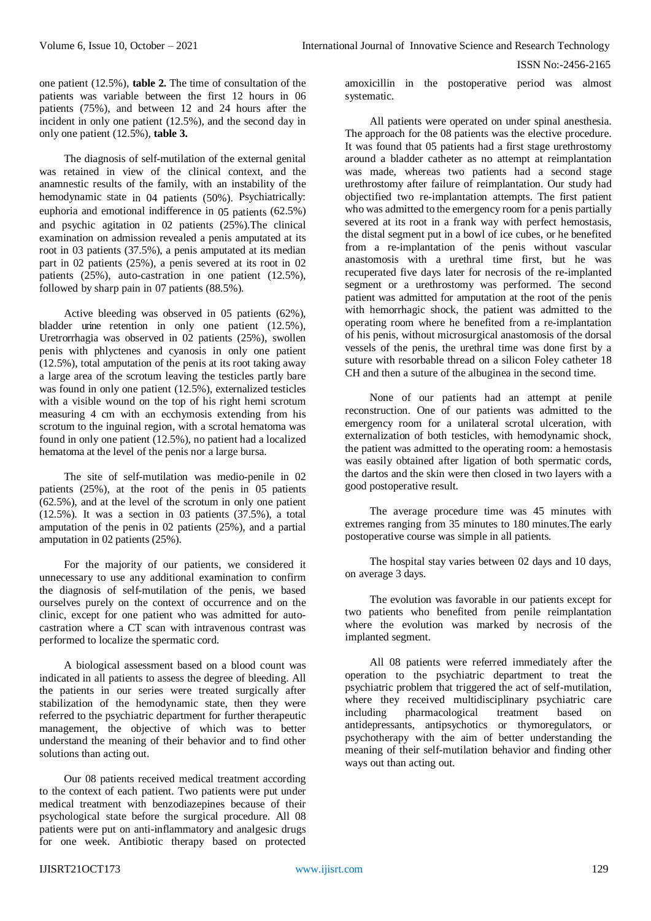one patient (12.5%), **table 2.** The time of consultation of the patients was variable between the first 12 hours in 06 patients (75%), and between 12 and 24 hours after the incident in only one patient (12.5%), and the second day in only one patient (12.5%), **table 3.**

The diagnosis of self-mutilation of the external genital was retained in view of the clinical context, and the anamnestic results of the family, with an instability of the hemodynamic state in 04 patients (50%). Psychiatrically: euphoria and emotional indifference in 05 patients (62.5%) and psychic agitation in 02 patients (25%).The clinical examination on admission revealed a penis amputated at its root in 03 patients (37.5%), a penis amputated at its median part in 02 patients (25%), a penis severed at its root in 02 patients (25%), auto-castration in one patient (12.5%), followed by sharp pain in 07 patients (88.5%).

Active bleeding was observed in 05 patients (62%), bladder urine retention in only one patient (12.5%), Uretrorrhagia was observed in 02 patients (25%), swollen penis with phlyctenes and cyanosis in only one patient (12.5%), total amputation of the penis at its root taking away a large area of the scrotum leaving the testicles partly bare was found in only one patient (12.5%), externalized testicles with a visible wound on the top of his right hemi scrotum measuring 4 cm with an ecchymosis extending from his scrotum to the inguinal region, with a scrotal hematoma was found in only one patient (12.5%), no patient had a localized hematoma at the level of the penis nor a large bursa.

The site of self-mutilation was medio-penile in 02 patients (25%), at the root of the penis in 05 patients (62.5%), and at the level of the scrotum in only one patient (12.5%). It was a section in 03 patients (37.5%), a total amputation of the penis in 02 patients (25%), and a partial amputation in 02 patients (25%).

For the majority of our patients, we considered it unnecessary to use any additional examination to confirm the diagnosis of self-mutilation of the penis, we based ourselves purely on the context of occurrence and on the clinic, except for one patient who was admitted for autocastration where a CT scan with intravenous contrast was performed to localize the spermatic cord.

A biological assessment based on a blood count was indicated in all patients to assess the degree of bleeding. All the patients in our series were treated surgically after stabilization of the hemodynamic state, then they were referred to the psychiatric department for further therapeutic management, the objective of which was to better understand the meaning of their behavior and to find other solutions than acting out.

Our 08 patients received medical treatment according to the context of each patient. Two patients were put under medical treatment with benzodiazepines because of their psychological state before the surgical procedure. All 08 patients were put on anti-inflammatory and analgesic drugs for one week. Antibiotic therapy based on protected

amoxicillin in the postoperative period was almost systematic.

All patients were operated on under spinal anesthesia. The approach for the 08 patients was the elective procedure. It was found that 05 patients had a first stage urethrostomy around a bladder catheter as no attempt at reimplantation was made, whereas two patients had a second stage urethrostomy after failure of reimplantation. Our study had objectified two re-implantation attempts. The first patient who was admitted to the emergency room for a penis partially severed at its root in a frank way with perfect hemostasis, the distal segment put in a bowl of ice cubes, or he benefited from a re-implantation of the penis without vascular anastomosis with a urethral time first, but he was recuperated five days later for necrosis of the re-implanted segment or a urethrostomy was performed. The second patient was admitted for amputation at the root of the penis with hemorrhagic shock, the patient was admitted to the operating room where he benefited from a re-implantation of his penis, without microsurgical anastomosis of the dorsal vessels of the penis, the urethral time was done first by a suture with resorbable thread on a silicon Foley catheter 18 CH and then a suture of the albuginea in the second time.

None of our patients had an attempt at penile reconstruction. One of our patients was admitted to the emergency room for a unilateral scrotal ulceration, with externalization of both testicles, with hemodynamic shock, the patient was admitted to the operating room: a hemostasis was easily obtained after ligation of both spermatic cords, the dartos and the skin were then closed in two layers with a good postoperative result.

The average procedure time was 45 minutes with extremes ranging from 35 minutes to 180 minutes.The early postoperative course was simple in all patients.

The hospital stay varies between 02 days and 10 days, on average 3 days.

The evolution was favorable in our patients except for two patients who benefited from penile reimplantation where the evolution was marked by necrosis of the implanted segment.

All 08 patients were referred immediately after the operation to the psychiatric department to treat the psychiatric problem that triggered the act of self-mutilation, where they received multidisciplinary psychiatric care including pharmacological treatment based on antidepressants, antipsychotics or thymoregulators, or psychotherapy with the aim of better understanding the meaning of their self-mutilation behavior and finding other ways out than acting out.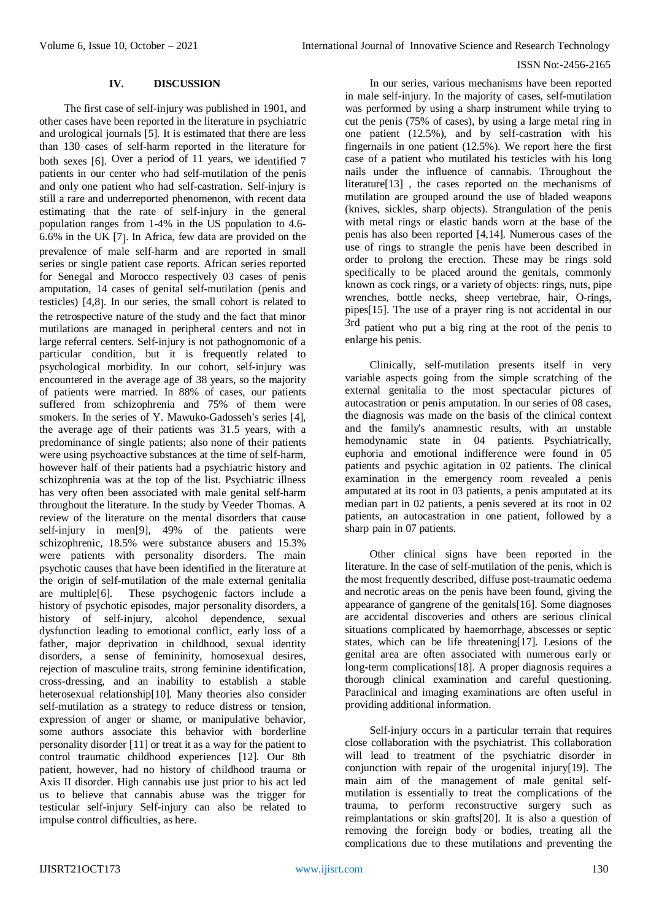#### **IV. DISCUSSION**

The first case of self-injury was published in 1901, and other cases have been reported in the literature in psychiatric and urological journals [5]. It is estimated that there are less than 130 cases of self-harm reported in the literature for both sexes [6]. Over a period of 11 years, we identified 7 patients in our center who had self-mutilation of the penis and only one patient who had self-castration. Self-injury is still a rare and underreported phenomenon, with recent data estimating that the rate of self-injury in the general population ranges from 1-4% in the US population to 4.6- 6.6% in the UK [7] . In Africa, few data are provided on the prevalence of male self-harm and are reported in small series or single patient case reports. African series reported for Senegal and Morocco respectively 03 cases of penis amputation, 14 cases of genital self-mutilation (penis and testicles) [4,8] . In our series, the small cohort is related to the retrospective nature of the study and the fact that minor mutilations are managed in peripheral centers and not in large referral centers. Self-injury is not pathognomonic of a particular condition, but it is frequently related to psychological morbidity. In our cohort, self-injury was encountered in the average age of 38 years, so the majority of patients were married. In 88% of cases, our patients suffered from schizophrenia and 75% of them were smokers. In the series of Y. Mawuko-Gadosseh's series [4], the average age of their patients was 31.5 years, with a predominance of single patients; also none of their patients were using psychoactive substances at the time of self-harm, however half of their patients had a psychiatric history and schizophrenia was at the top of the list. Psychiatric illness has very often been associated with male genital self-harm throughout the literature. In the study by Veeder Thomas. A review of the literature on the mental disorders that cause self-injury in men[9], 49% of the patients were schizophrenic, 18.5% were substance abusers and 15.3% were patients with personality disorders. The main psychotic causes that have been identified in the literature at the origin of self-mutilation of the male external genitalia are multiple[6]. These psychogenic factors include a history of psychotic episodes, major personality disorders, a history of self-injury, alcohol dependence, sexual dysfunction leading to emotional conflict, early loss of a father, major deprivation in childhood, sexual identity disorders, a sense of femininity, homosexual desires, rejection of masculine traits, strong feminine identification, cross-dressing, and an inability to establish a stable heterosexual relationship[10]. Many theories also consider self-mutilation as a strategy to reduce distress or tension, expression of anger or shame, or manipulative behavior, some authors associate this behavior with borderline personality disorder [11] or treat it as a way for the patient to control traumatic childhood experiences [12]. Our 8th patient, however, had no history of childhood trauma or Axis II disorder. High cannabis use just prior to his act led us to believe that cannabis abuse was the trigger for testicular self-injury Self-injury can also be related to impulse control difficulties, as here.

In our series, various mechanisms have been reported in male self-injury. In the majority of cases, self-mutilation was performed by using a sharp instrument while trying to cut the penis (75% of cases), by using a large metal ring in one patient (12.5%), and by self-castration with his fingernails in one patient (12.5%). We report here the first case of a patient who mutilated his testicles with his long nails under the influence of cannabis. Throughout the literature[13] , the cases reported on the mechanisms of mutilation are grouped around the use of bladed weapons (knives, sickles, sharp objects). Strangulation of the penis with metal rings or elastic bands worn at the base of the penis has also been reported [4,14]. Numerous cases of the use of rings to strangle the penis have been described in order to prolong the erection. These may be rings sold specifically to be placed around the genitals, commonly known as cock rings, or a variety of objects: rings, nuts, pipe wrenches, bottle necks, sheep vertebrae, hair, O-rings, pipes[15]. The use of a prayer ring is not accidental in our

3rd patient who put <sup>a</sup> big ring at the root of the penis to enlarge his penis.

Clinically, self-mutilation presents itself in very variable aspects going from the simple scratching of the external genitalia to the most spectacular pictures of autocastration or penis amputation. In our series of 08 cases, the diagnosis was made on the basis of the clinical context and the family's anamnestic results, with an unstable hemodynamic state in 04 patients. Psychiatrically, euphoria and emotional indifference were found in 05 patients and psychic agitation in 02 patients. The clinical examination in the emergency room revealed a penis amputated at its root in 03 patients, a penis amputated at its median part in 02 patients, a penis severed at its root in 02 patients, an autocastration in one patient, followed by a sharp pain in 07 patients.

Other clinical signs have been reported in the literature. In the case of self-mutilation of the penis, which is the most frequently described, diffuse post-traumatic oedema and necrotic areas on the penis have been found, giving the appearance of gangrene of the genitals[16]. Some diagnoses are accidental discoveries and others are serious clinical situations complicated by haemorrhage, abscesses or septic states, which can be life threatening[17]. Lesions of the genital area are often associated with numerous early or long-term complications[18]. A proper diagnosis requires a thorough clinical examination and careful questioning. Paraclinical and imaging examinations are often useful in providing additional information.

Self-injury occurs in a particular terrain that requires close collaboration with the psychiatrist. This collaboration will lead to treatment of the psychiatric disorder in conjunction with repair of the urogenital injury[19]. The main aim of the management of male genital selfmutilation is essentially to treat the complications of the trauma, to perform reconstructive surgery such as reimplantations or skin grafts[20]. It is also a question of removing the foreign body or bodies, treating all the complications due to these mutilations and preventing the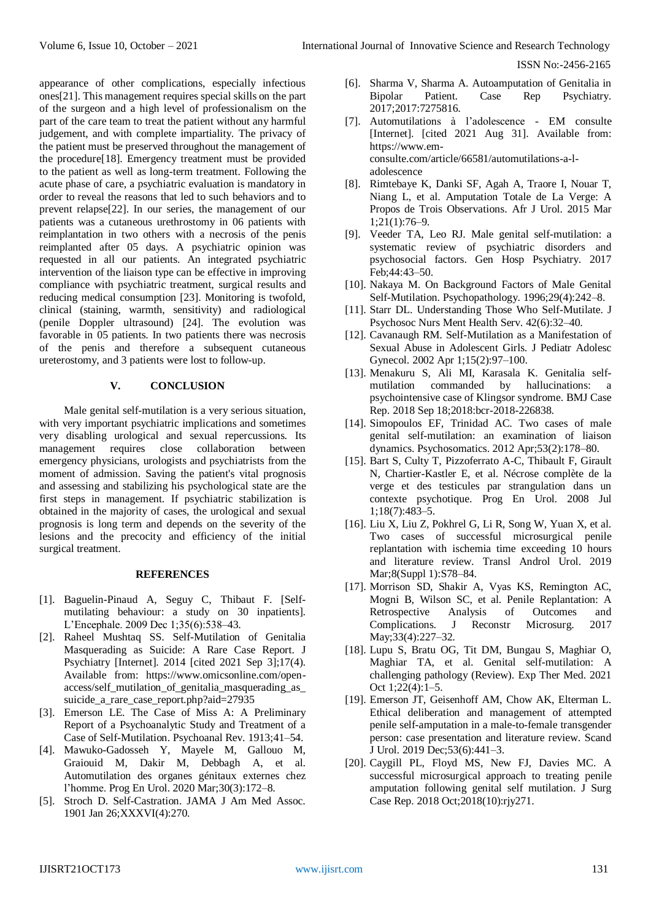appearance of other complications, especially infectious ones[21]. This management requires special skills on the part of the surgeon and a high level of professionalism on the part of the care team to treat the patient without any harmful judgement, and with complete impartiality. The privacy of the patient must be preserved throughout the management of the procedure[18]. Emergency treatment must be provided to the patient as well as long-term treatment. Following the acute phase of care, a psychiatric evaluation is mandatory in order to reveal the reasons that led to such behaviors and to prevent relapse[22]. In our series, the management of our patients was a cutaneous urethrostomy in 06 patients with reimplantation in two others with a necrosis of the penis reimplanted after 05 days. A psychiatric opinion was requested in all our patients. An integrated psychiatric intervention of the liaison type can be effective in improving compliance with psychiatric treatment, surgical results and reducing medical consumption [23]. Monitoring is twofold, clinical (staining, warmth, sensitivity) and radiological (penile Doppler ultrasound) [24]. The evolution was favorable in 05 patients. In two patients there was necrosis of the penis and therefore a subsequent cutaneous ureterostomy, and 3 patients were lost to follow-up.

## **V. CONCLUSION**

Male genital self-mutilation is a very serious situation, with very important psychiatric implications and sometimes very disabling urological and sexual repercussions. Its management requires close collaboration emergency physicians, urologists and psychiatrists from the moment of admission. Saving the patient's vital prognosis and assessing and stabilizing his psychological state are the first steps in management. If psychiatric stabilization is obtained in the majority of cases, the urological and sexual prognosis is long term and depends on the severity of the lesions and the precocity and efficiency of the initial surgical treatment.

## **REFERENCES**

- [1]. Baguelin-Pinaud A, Seguy C, Thibaut F. [Selfmutilating behaviour: a study on 30 inpatients]. L'Encephale. 2009 Dec 1;35(6):538–43.
- [2]. Raheel Mushtaq SS. Self-Mutilation of Genitalia Masquerading as Suicide: A Rare Case Report. J Psychiatry [Internet]. 2014 [cited 2021 Sep 3];17(4). Available from: https://www.omicsonline.com/openaccess/self\_mutilation\_of\_genitalia\_masquerading\_as\_ suicide a rare case report.php?aid=27935
- [3]. Emerson LE. The Case of Miss A: A Preliminary Report of a Psychoanalytic Study and Treatment of a Case of Self-Mutilation. Psychoanal Rev. 1913;41–54.
- [4]. Mawuko-Gadosseh Y, Mayele M, Gallouo M, Graiouid M, Dakir M, Debbagh A, et al. Automutilation des organes génitaux externes chez l'homme. Prog En Urol. 2020 Mar;30(3):172–8.
- [5]. Stroch D. Self-Castration. JAMA J Am Med Assoc. 1901 Jan 26;XXXVI(4):270.
- [6]. Sharma V, Sharma A. Autoamputation of Genitalia in Bipolar Patient. Case Rep Psychiatry. 2017;2017:7275816.
- [7]. Automutilations à l'adolescence EM consulte [Internet]. [cited 2021 Aug 31]. Available from: https://www.emconsulte.com/article/66581/automutilations-a-ladolescence
- [8]. Rimtebaye K, Danki SF, Agah A, Traore I, Nouar T, Niang L, et al. Amputation Totale de La Verge: A Propos de Trois Observations. Afr J Urol. 2015 Mar 1;21(1):76–9.
- [9]. Veeder TA, Leo RJ. Male genital self-mutilation: a systematic review of psychiatric disorders and psychosocial factors. Gen Hosp Psychiatry. 2017 Feb;44:43–50.
- [10]. Nakaya M. On Background Factors of Male Genital Self-Mutilation. Psychopathology. 1996;29(4):242–8.
- [11]. Starr DL. Understanding Those Who Self-Mutilate. J Psychosoc Nurs Ment Health Serv. 42(6):32–40.
- [12]. Cavanaugh RM. Self-Mutilation as a Manifestation of Sexual Abuse in Adolescent Girls. J Pediatr Adolesc Gynecol. 2002 Apr 1;15(2):97–100.
- [13]. Menakuru S, Ali MI, Karasala K. Genitalia selfmutilation commanded by hallucinations: a psychointensive case of Klingsor syndrome. BMJ Case Rep. 2018 Sep 18;2018:bcr-2018-226838.
- [14]. Simopoulos EF, Trinidad AC. Two cases of male genital self-mutilation: an examination of liaison dynamics. Psychosomatics. 2012 Apr;53(2):178–80.
- [15]. Bart S, Culty T, Pizzoferrato A-C, Thibault F, Girault N, Chartier-Kastler E, et al. Nécrose complète de la verge et des testicules par strangulation dans un contexte psychotique. Prog En Urol. 2008 Jul 1;18(7):483–5.
- [16]. Liu X, Liu Z, Pokhrel G, Li R, Song W, Yuan X, et al. Two cases of successful microsurgical penile replantation with ischemia time exceeding 10 hours and literature review. Transl Androl Urol. 2019 Mar;8(Suppl 1):S78–84.
- [17]. Morrison SD, Shakir A, Vyas KS, Remington AC, Mogni B, Wilson SC, et al. Penile Replantation: A Retrospective Analysis of Outcomes and Complications. J Reconstr Microsurg. 2017 May;33(4):227–32.
- [18]. Lupu S, Bratu OG, Tit DM, Bungau S, Maghiar O, Maghiar TA, et al. Genital self-mutilation: A challenging pathology (Review). Exp Ther Med. 2021 Oct 1;22(4):1–5.
- [19]. Emerson JT, Geisenhoff AM, Chow AK, Elterman L. Ethical deliberation and management of attempted penile self-amputation in a male-to-female transgender person: case presentation and literature review. Scand J Urol. 2019 Dec;53(6):441–3.
- [20]. Caygill PL, Floyd MS, New FJ, Davies MC. A successful microsurgical approach to treating penile amputation following genital self mutilation. J Surg Case Rep. 2018 Oct;2018(10):rjy271.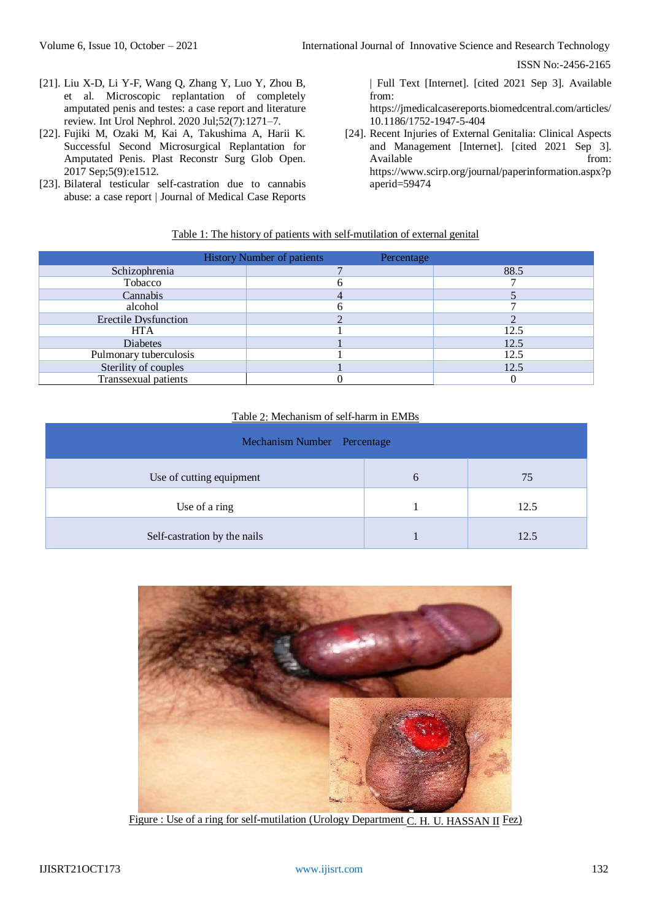- [21]. Liu X-D, Li Y-F, Wang Q, Zhang Y, Luo Y, Zhou B, et al. Microscopic replantation of completely amputated penis and testes: a case report and literature review. Int Urol Nephrol. 2020 Jul;52(7):1271–7.
- [22]. Fujiki M, Ozaki M, Kai A, Takushima A, Harii K. Successful Second Microsurgical Replantation for Amputated Penis. Plast Reconstr Surg Glob Open. 2017 Sep;5(9):e1512.
- [23]. Bilateral testicular self-castration due to cannabis abuse: a case report | Journal of Medical Case Reports

| Full Text [Internet]. [cited 2021 Sep 3]. Available from:

https://jmedicalcasereports.biomedcentral.com/articles/ 10.1186/1752-1947-5-404

[24]. Recent Injuries of External Genitalia: Clinical Aspects and Management [Internet]. [cited 2021 Sep 3]. Available from: https://www.scirp.org/journal/paperinformation.aspx?p aperid=59474

# Table 1: The history of patients with self-mutilation of external genital

|                             | <b>History Number of patients</b><br>Percentage |      |
|-----------------------------|-------------------------------------------------|------|
| Schizophrenia               |                                                 | 88.5 |
| Tobacco                     |                                                 |      |
| Cannabis                    |                                                 |      |
| alcohol                     |                                                 |      |
| <b>Erectile Dysfunction</b> |                                                 |      |
| HTA                         |                                                 | 12.5 |
| <b>Diabetes</b>             |                                                 | 12.5 |
| Pulmonary tuberculosis      |                                                 | 12.5 |
| Sterility of couples        |                                                 | 12.5 |
| <b>Transsexual patients</b> |                                                 |      |

# Table 2: Mechanism of self-harm in EMBs

| Mechanism Number Percentage  |   |      |  |
|------------------------------|---|------|--|
| Use of cutting equipment     | 6 | 75   |  |
| Use of a ring                |   | 12.5 |  |
| Self-castration by the nails |   | 12.5 |  |



Figure : Use of a ring for self-mutilation (Urology Department C. H. U. HASSAN II Fez)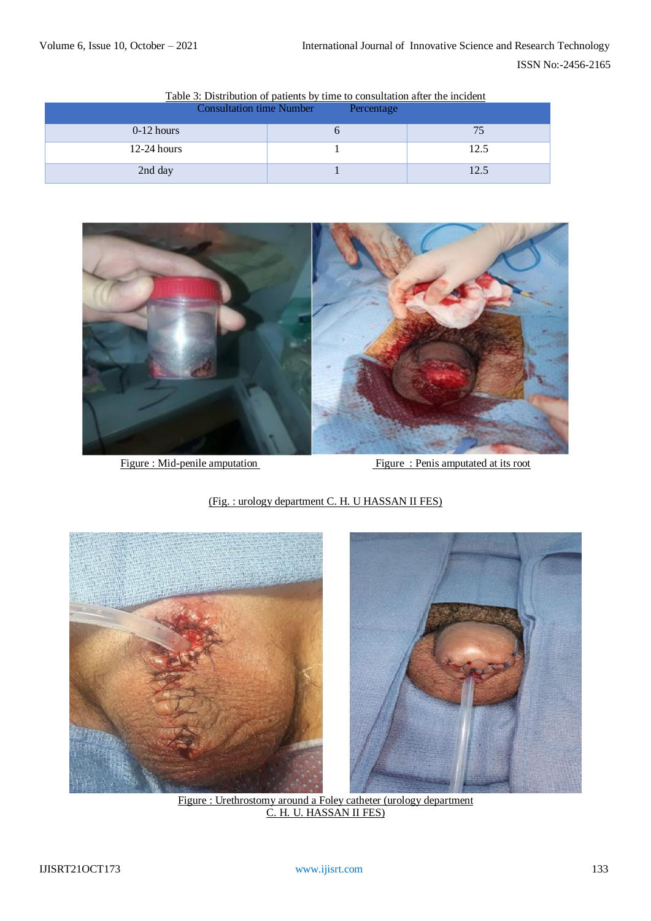| Table 3: Distribution of patients by time to consultation after the incident<br><b>Consultation time Number</b><br>Percentage |  |      |  |  |
|-------------------------------------------------------------------------------------------------------------------------------|--|------|--|--|
| $0-12$ hours                                                                                                                  |  |      |  |  |
| $12-24$ hours                                                                                                                 |  | 12.5 |  |  |
| 2nd day                                                                                                                       |  | 12.5 |  |  |

Table 3: Distribution of patients by time to consultation after the incident



Figure : Mid-penile amputation Figure : Penis amputated at its root

# (Fig. : urology department C. H. U HASSAN II FES)





Figure : Urethrostomy around a Foley catheter (urology department C. H. U. HASSAN II FES)